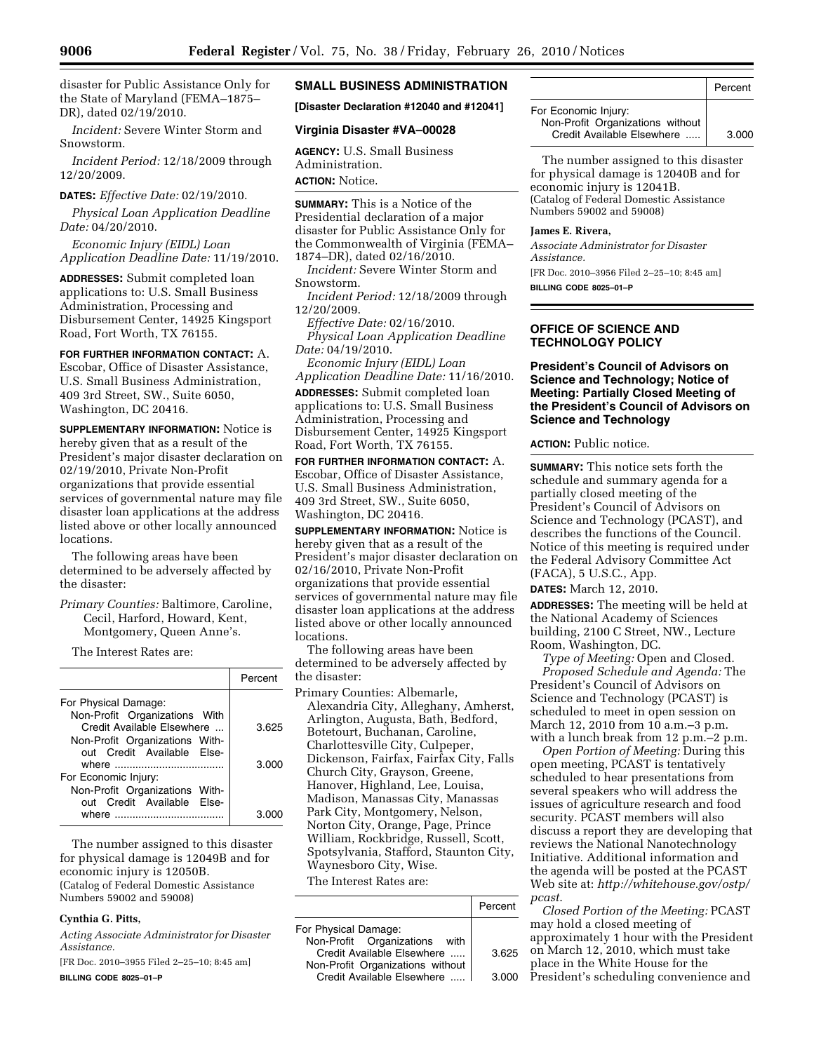disaster for Public Assistance Only for the State of Maryland (FEMA–1875– DR), dated 02/19/2010.

*Incident:* Severe Winter Storm and Snowstorm.

*Incident Period:* 12/18/2009 through 12/20/2009.

#### **DATES:** *Effective Date:* 02/19/2010.

*Physical Loan Application Deadline Date:* 04/20/2010.

*Economic Injury (EIDL) Loan Application Deadline Date:* 11/19/2010.

**ADDRESSES:** Submit completed loan applications to: U.S. Small Business Administration, Processing and Disbursement Center, 14925 Kingsport Road, Fort Worth, TX 76155.

**FOR FURTHER INFORMATION CONTACT:** A. Escobar, Office of Disaster Assistance,

U.S. Small Business Administration, 409 3rd Street, SW., Suite 6050, Washington, DC 20416.

**SUPPLEMENTARY INFORMATION:** Notice is hereby given that as a result of the President's major disaster declaration on 02/19/2010, Private Non-Profit organizations that provide essential services of governmental nature may file disaster loan applications at the address listed above or other locally announced locations.

The following areas have been determined to be adversely affected by the disaster:

*Primary Counties:* Baltimore, Caroline, Cecil, Harford, Howard, Kent, Montgomery, Queen Anne's.

The Interest Rates are:

|                                                              | Percent |
|--------------------------------------------------------------|---------|
| For Physical Damage:                                         |         |
| Non-Profit Organizations With<br>Credit Available Elsewhere  | 3.625   |
| Non-Profit Organizations With-<br>out Credit Available Else- | 3.000   |
| For Economic Injury:                                         |         |
| Non-Profit Organizations With-<br>out Credit Available Flse- |         |
| where                                                        | 3 OC    |

The number assigned to this disaster for physical damage is 12049B and for economic injury is 12050B. (Catalog of Federal Domestic Assistance Numbers 59002 and 59008)

### **Cynthia G. Pitts,**

*Acting Associate Administrator for Disaster Assistance.* 

[FR Doc. 2010–3955 Filed 2–25–10; 8:45 am] **BILLING CODE 8025–01–P** 

# **SMALL BUSINESS ADMINISTRATION**

**[Disaster Declaration #12040 and #12041]** 

## **Virginia Disaster #VA–00028**

**AGENCY:** U.S. Small Business Administration. **ACTION:** Notice.

**SUMMARY:** This is a Notice of the Presidential declaration of a major disaster for Public Assistance Only for the Commonwealth of Virginia (FEMA– 1874–DR), dated 02/16/2010.

*Incident:* Severe Winter Storm and Snowstorm.

*Incident Period:* 12/18/2009 through 12/20/2009.

*Effective Date:* 02/16/2010.

*Physical Loan Application Deadline Date:* 04/19/2010.

*Economic Injury (EIDL) Loan Application Deadline Date:* 11/16/2010.

**ADDRESSES:** Submit completed loan applications to: U.S. Small Business Administration, Processing and Disbursement Center, 14925 Kingsport Road, Fort Worth, TX 76155.

**FOR FURTHER INFORMATION CONTACT:** A. Escobar, Office of Disaster Assistance, U.S. Small Business Administration, 409 3rd Street, SW., Suite 6050, Washington, DC 20416.

**SUPPLEMENTARY INFORMATION:** Notice is hereby given that as a result of the President's major disaster declaration on 02/16/2010, Private Non-Profit organizations that provide essential services of governmental nature may file disaster loan applications at the address listed above or other locally announced locations.

The following areas have been determined to be adversely affected by the disaster:

Primary Counties: Albemarle, Alexandria City, Alleghany, Amherst, Arlington, Augusta, Bath, Bedford, Botetourt, Buchanan, Caroline, Charlottesville City, Culpeper, Dickenson, Fairfax, Fairfax City, Falls Church City, Grayson, Greene, Hanover, Highland, Lee, Louisa, Madison, Manassas City, Manassas Park City, Montgomery, Nelson, Norton City, Orange, Page, Prince William, Rockbridge, Russell, Scott, Spotsylvania, Stafford, Staunton City, Waynesboro City, Wise.

The Interest Rates are:

|                                  | Percent |
|----------------------------------|---------|
| For Physical Damage:             |         |
| Non-Profit Organizations with    |         |
| Credit Available Elsewhere       | 3.625   |
| Non-Profit Organizations without |         |
| Credit Available Elsewhere       | 3.000   |

|                                                                                        | Percent |
|----------------------------------------------------------------------------------------|---------|
| For Economic Injury:<br>Non-Profit Organizations without<br>Credit Available Elsewhere | 3.000   |

The number assigned to this disaster for physical damage is 12040B and for economic injury is 12041B. (Catalog of Federal Domestic Assistance Numbers 59002 and 59008)

### **James E. Rivera,**

*Associate Administrator for Disaster Assistance.* 

[FR Doc. 2010–3956 Filed 2–25–10; 8:45 am] **BILLING CODE 8025–01–P** 

# **OFFICE OF SCIENCE AND TECHNOLOGY POLICY**

## **President's Council of Advisors on Science and Technology; Notice of Meeting: Partially Closed Meeting of the President's Council of Advisors on Science and Technology**

**ACTION:** Public notice.

**SUMMARY:** This notice sets forth the schedule and summary agenda for a partially closed meeting of the President's Council of Advisors on Science and Technology (PCAST), and describes the functions of the Council. Notice of this meeting is required under the Federal Advisory Committee Act (FACA), 5 U.S.C., App.

**DATES:** March 12, 2010.

**ADDRESSES:** The meeting will be held at the National Academy of Sciences building, 2100 C Street, NW., Lecture Room, Washington, DC.

*Type of Meeting:* Open and Closed. *Proposed Schedule and Agenda:* The President's Council of Advisors on Science and Technology (PCAST) is scheduled to meet in open session on March 12, 2010 from 10 a.m.–3 p.m. with a lunch break from 12 p.m.–2 p.m.

*Open Portion of Meeting:* During this open meeting, PCAST is tentatively scheduled to hear presentations from several speakers who will address the issues of agriculture research and food security. PCAST members will also discuss a report they are developing that reviews the National Nanotechnology Initiative. Additional information and the agenda will be posted at the PCAST Web site at: *http://whitehouse.gov/ostp/ pcast*.

*Closed Portion of the Meeting:* PCAST may hold a closed meeting of approximately 1 hour with the President on March 12, 2010, which must take place in the White House for the

President's scheduling convenience and